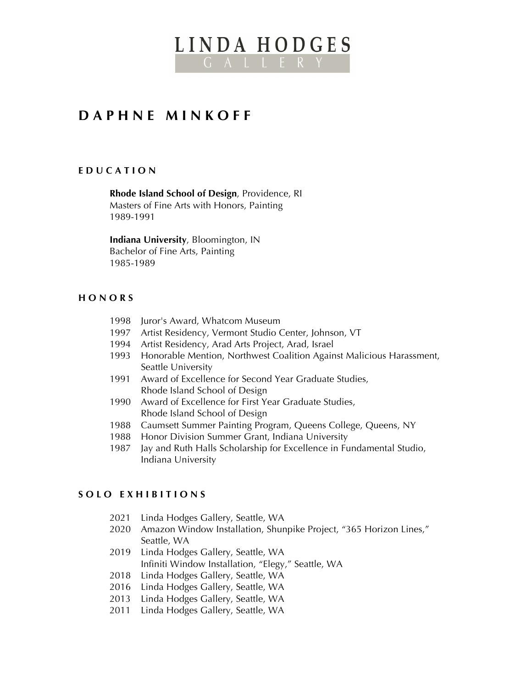# LINDA HODGES G A L L E R Y

# **D A P H N E M I N K O F F**

#### **E D U C A T I O N**

**Rhode Island School of Design**, Providence, RI Masters of Fine Arts with Honors, Painting 1989-1991

**Indiana University**, Bloomington, IN Bachelor of Fine Arts, Painting 1985-1989

#### **H O N O R S**

- 1998 Juror's Award, Whatcom Museum
- 1997 Artist Residency, Vermont Studio Center, Johnson, VT
- 1994 Artist Residency, Arad Arts Project, Arad, Israel
- 1993 Honorable Mention, Northwest Coalition Against Malicious Harassment, Seattle University
- 1991 Award of Excellence for Second Year Graduate Studies, Rhode Island School of Design
- 1990 Award of Excellence for First Year Graduate Studies, Rhode Island School of Design
- 1988 Caumsett Summer Painting Program, Queens College, Queens, NY
- 1988 Honor Division Summer Grant, Indiana University
- 1987 Jay and Ruth Halls Scholarship for Excellence in Fundamental Studio, Indiana University

#### **S O L O E X H I B I T I O N S**

- 2021 Linda Hodges Gallery, Seattle, WA
- 2020 Amazon Window Installation, Shunpike Project, "365 Horizon Lines," Seattle, WA
- 2019 Linda Hodges Gallery, Seattle, WA Infiniti Window Installation, "Elegy," Seattle, WA
- 2018 Linda Hodges Gallery, Seattle, WA
- 2016 Linda Hodges Gallery, Seattle, WA
- 2013 Linda Hodges Gallery, Seattle, WA
- 2011 Linda Hodges Gallery, Seattle, WA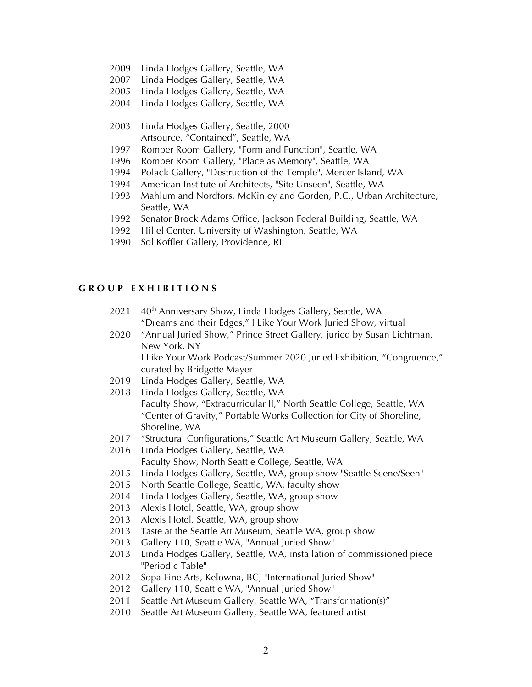- Linda Hodges Gallery, Seattle, WA
- Linda Hodges Gallery, Seattle, WA
- 2005 Linda Hodges Gallery, Seattle, WA
- 2004 Linda Hodges Gallery, Seattle, WA
- Linda Hodges Gallery, Seattle, 2000 Artsource, "Contained", Seattle, WA
- Romper Room Gallery, "Form and Function", Seattle, WA
- Romper Room Gallery, "Place as Memory", Seattle, WA
- Polack Gallery, "Destruction of the Temple", Mercer Island, WA
- American Institute of Architects, "Site Unseen", Seattle, WA
- Mahlum and Nordfors, McKinley and Gorden, P.C., Urban Architecture, Seattle, WA
- Senator Brock Adams Office, Jackson Federal Building, Seattle, WA
- Hillel Center, University of Washington, Seattle, WA
- Sol Koffler Gallery, Providence, RI

#### **G R O U P E X H I B I T I O N S**

- 2021 40<sup>th</sup> Anniversary Show, Linda Hodges Gallery, Seattle, WA "Dreams and their Edges," I Like Your Work Juried Show, virtual
- "Annual Juried Show," Prince Street Gallery, juried by Susan Lichtman, New York, NY

I Like Your Work Podcast/Summer 2020 Juried Exhibition, "Congruence," curated by Bridgette Mayer

- Linda Hodges Gallery, Seattle, WA
- Linda Hodges Gallery, Seattle, WA Faculty Show, "Extracurricular II," North Seattle College, Seattle, WA "Center of Gravity," Portable Works Collection for City of Shoreline, Shoreline, WA
- "Structural Configurations," Seattle Art Museum Gallery, Seattle, WA
- Linda Hodges Gallery, Seattle, WA Faculty Show, North Seattle College, Seattle, WA
- Linda Hodges Gallery, Seattle, WA, group show "Seattle Scene/Seen"
- North Seattle College, Seattle, WA, faculty show
- Linda Hodges Gallery, Seattle, WA, group show
- Alexis Hotel, Seattle, WA, group show
- Alexis Hotel, Seattle, WA, group show
- Taste at the Seattle Art Museum, Seattle WA, group show
- Gallery 110, Seattle WA, "Annual Juried Show"
- Linda Hodges Gallery, Seattle, WA, installation of commissioned piece "Periodic Table"
- 2012 Sopa Fine Arts, Kelowna, BC, "International Juried Show"
- Gallery 110, Seattle WA, "Annual Juried Show"
- 2011 Seattle Art Museum Gallery, Seattle WA, "Transformation(s)"
- Seattle Art Museum Gallery, Seattle WA, featured artist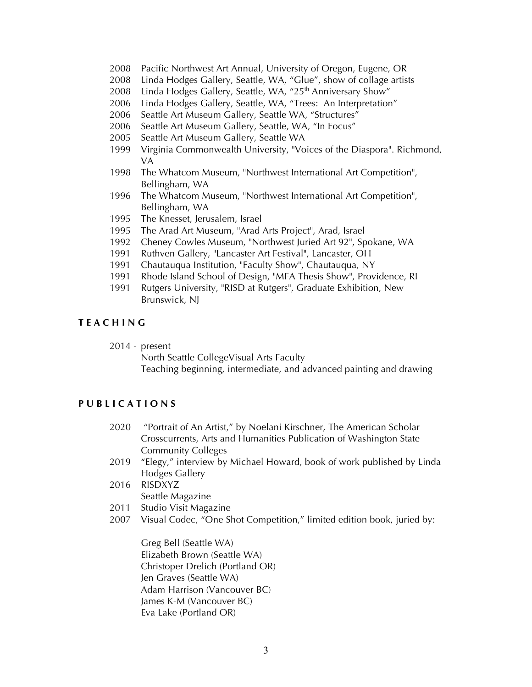- 2008 Pacific Northwest Art Annual, University of Oregon, Eugene, OR
- 2008 Linda Hodges Gallery, Seattle, WA, "Glue", show of collage artists
- 2008 Linda Hodges Gallery, Seattle, WA, "25<sup>th</sup> Anniversary Show"
- 2006 Linda Hodges Gallery, Seattle, WA, "Trees: An Interpretation"
- 2006 Seattle Art Museum Gallery, Seattle WA, "Structures"
- 2006 Seattle Art Museum Gallery, Seattle, WA, "In Focus"
- 2005 Seattle Art Museum Gallery, Seattle WA
- 1999 Virginia Commonwealth University, "Voices of the Diaspora". Richmond, VA
- 1998 The Whatcom Museum, "Northwest International Art Competition", Bellingham, WA
- 1996 The Whatcom Museum, "Northwest International Art Competition", Bellingham, WA
- 1995 The Knesset, Jerusalem, Israel
- 1995 The Arad Art Museum, "Arad Arts Project", Arad, Israel
- 1992 Cheney Cowles Museum, "Northwest Juried Art 92", Spokane, WA
- 1991 Ruthven Gallery, "Lancaster Art Festival", Lancaster, OH
- 1991 Chautauqua Institution, "Faculty Show", Chautauqua, NY
- 1991 Rhode Island School of Design, "MFA Thesis Show", Providence, RI
- 1991 Rutgers University, "RISD at Rutgers", Graduate Exhibition, New Brunswick, NJ

#### **T E A C H I N G**

2014 - present

North Seattle CollegeVisual Arts Faculty

Teaching beginning, intermediate, and advanced painting and drawing

## **P U B L I C A T I O N S**

- 2020 "Portrait of An Artist," by Noelani Kirschner, The American Scholar Crosscurrents, Arts and Humanities Publication of Washington State Community Colleges
- 2019 "Elegy," interview by Michael Howard, book of work published by Linda Hodges Gallery
- 2016 RISDXYZ Seattle Magazine
- 2011 Studio Visit Magazine
- 2007 Visual Codec, "One Shot Competition," limited edition book, juried by:

Greg Bell (Seattle WA) Elizabeth Brown (Seattle WA) Christoper Drelich (Portland OR) Jen Graves (Seattle WA) Adam Harrison (Vancouver BC) James K-M (Vancouver BC) Eva Lake (Portland OR)